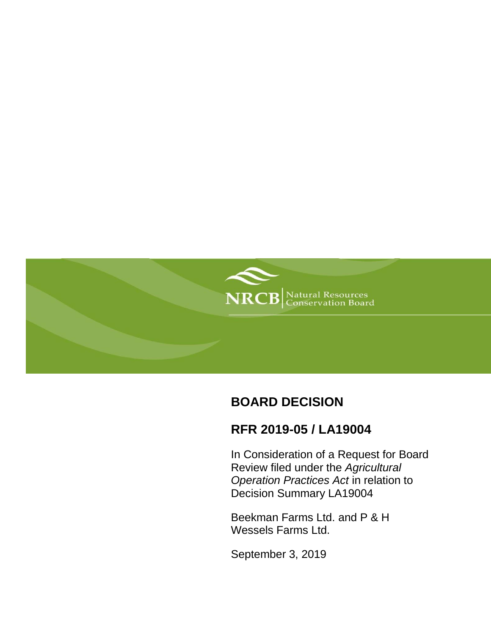

# **BOARD DECISION**

# **RFR 2019-05 / LA19004**

In Consideration of a Request for Board Review filed under the *Agricultural Operation Practices Act* in relation to Decision Summary LA19004

Beekman Farms Ltd. and P & H Wessels Farms Ltd.

September 3, 2019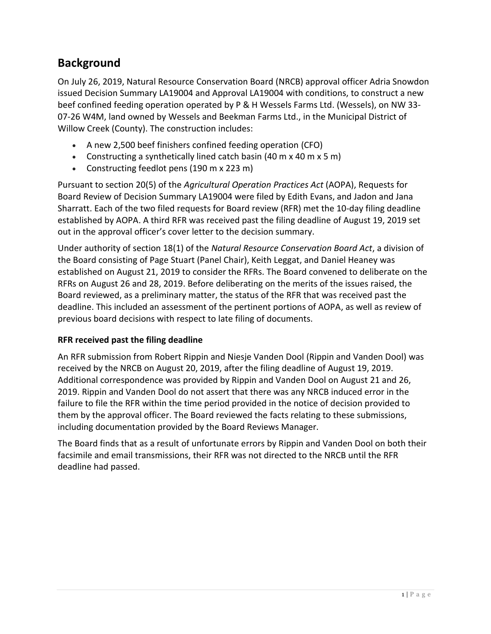# **Background**

On July 26, 2019, Natural Resource Conservation Board (NRCB) approval officer Adria Snowdon issued Decision Summary LA19004 and Approval LA19004 with conditions, to construct a new beef confined feeding operation operated by P & H Wessels Farms Ltd. (Wessels), on NW 33- 07-26 W4M, land owned by Wessels and Beekman Farms Ltd., in the Municipal District of Willow Creek (County). The construction includes:

- A new 2,500 beef finishers confined feeding operation (CFO)
- Constructing a synthetically lined catch basin (40 m x 40 m x 5 m)
- Constructing feedlot pens (190 m x 223 m)

Pursuant to section 20(5) of the *Agricultural Operation Practices Act* (AOPA), Requests for Board Review of Decision Summary LA19004 were filed by Edith Evans, and Jadon and Jana Sharratt. Each of the two filed requests for Board review (RFR) met the 10-day filing deadline established by AOPA. A third RFR was received past the filing deadline of August 19, 2019 set out in the approval officer's cover letter to the decision summary.

Under authority of section 18(1) of the *Natural Resource Conservation Board Act*, a division of the Board consisting of Page Stuart (Panel Chair), Keith Leggat, and Daniel Heaney was established on August 21, 2019 to consider the RFRs. The Board convened to deliberate on the RFRs on August 26 and 28, 2019. Before deliberating on the merits of the issues raised, the Board reviewed, as a preliminary matter, the status of the RFR that was received past the deadline. This included an assessment of the pertinent portions of AOPA, as well as review of previous board decisions with respect to late filing of documents.

# **RFR received past the filing deadline**

An RFR submission from Robert Rippin and Niesje Vanden Dool (Rippin and Vanden Dool) was received by the NRCB on August 20, 2019, after the filing deadline of August 19, 2019. Additional correspondence was provided by Rippin and Vanden Dool on August 21 and 26, 2019. Rippin and Vanden Dool do not assert that there was any NRCB induced error in the failure to file the RFR within the time period provided in the notice of decision provided to them by the approval officer. The Board reviewed the facts relating to these submissions, including documentation provided by the Board Reviews Manager.

The Board finds that as a result of unfortunate errors by Rippin and Vanden Dool on both their facsimile and email transmissions, their RFR was not directed to the NRCB until the RFR deadline had passed.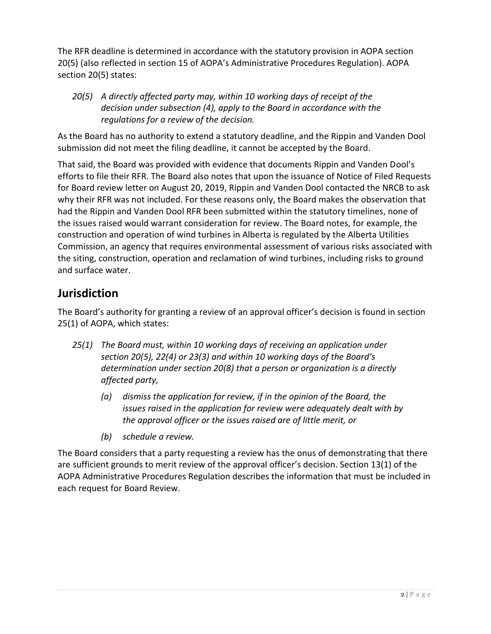The RFR deadline is determined in accordance with the statutory provision in AOPA section 20(5) (also reflected in section 15 of AOPA's Administrative Procedures Regulation). AOPA section 20(5) states:

*20(5) A directly affected party may, within 10 working days of receipt of the decision under subsection (4), apply to the Board in accordance with the regulations for a review of the decision.*

As the Board has no authority to extend a statutory deadline, and the Rippin and Vanden Dool submission did not meet the filing deadline, it cannot be accepted by the Board.

That said, the Board was provided with evidence that documents Rippin and Vanden Dool's efforts to file their RFR. The Board also notes that upon the issuance of Notice of Filed Requests for Board review letter on August 20, 2019, Rippin and Vanden Dool contacted the NRCB to ask why their RFR was not included. For these reasons only, the Board makes the observation that had the Rippin and Vanden Dool RFR been submitted within the statutory timelines, none of the issues raised would warrant consideration for review. The Board notes, for example, the construction and operation of wind turbines in Alberta is regulated by the Alberta Utilities Commission, an agency that requires environmental assessment of various risks associated with the siting, construction, operation and reclamation of wind turbines, including risks to ground and surface water.

# **Jurisdiction**

The Board's authority for granting a review of an approval officer's decision is found in section 25(1) of AOPA, which states:

- *25(1) The Board must, within 10 working days of receiving an application under section 20(5), 22(4) or 23(3) and within 10 working days of the Board's determination under section 20(8) that a person or organization is a directly affected party,*
	- *(a) dismiss the application for review, if in the opinion of the Board, the issues raised in the application for review were adequately dealt with by the approval officer or the issues raised are of little merit, or*
	- *(b) schedule a review.*

The Board considers that a party requesting a review has the onus of demonstrating that there are sufficient grounds to merit review of the approval officer's decision. Section 13(1) of the AOPA Administrative Procedures Regulation describes the information that must be included in each request for Board Review.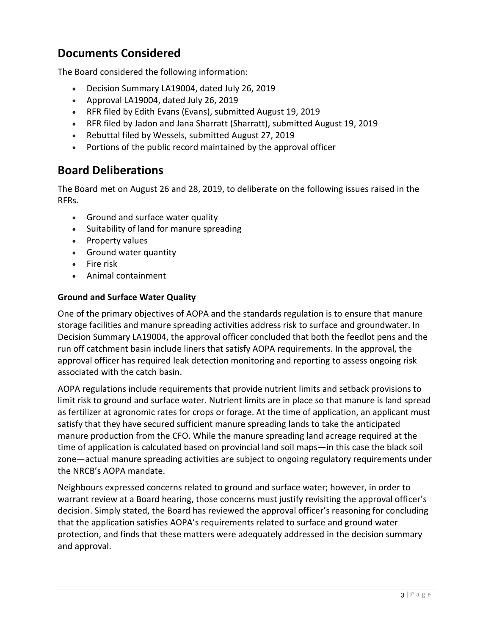# **Documents Considered**

The Board considered the following information:

- Decision Summary LA19004, dated July 26, 2019
- Approval LA19004, dated July 26, 2019
- RFR filed by Edith Evans (Evans), submitted August 19, 2019
- RFR filed by Jadon and Jana Sharratt (Sharratt), submitted August 19, 2019
- Rebuttal filed by Wessels, submitted August 27, 2019
- Portions of the public record maintained by the approval officer

# **Board Deliberations**

The Board met on August 26 and 28, 2019, to deliberate on the following issues raised in the RFRs.

- Ground and surface water quality
- Suitability of land for manure spreading
- Property values
- Ground water quantity
- Fire risk
- Animal containment

### **Ground and Surface Water Quality**

One of the primary objectives of AOPA and the standards regulation is to ensure that manure storage facilities and manure spreading activities address risk to surface and groundwater. In Decision Summary LA19004, the approval officer concluded that both the feedlot pens and the run off catchment basin include liners that satisfy AOPA requirements. In the approval, the approval officer has required leak detection monitoring and reporting to assess ongoing risk associated with the catch basin.

AOPA regulations include requirements that provide nutrient limits and setback provisions to limit risk to ground and surface water. Nutrient limits are in place so that manure is land spread as fertilizer at agronomic rates for crops or forage. At the time of application, an applicant must satisfy that they have secured sufficient manure spreading lands to take the anticipated manure production from the CFO. While the manure spreading land acreage required at the time of application is calculated based on provincial land soil maps—in this case the black soil zone—actual manure spreading activities are subject to ongoing regulatory requirements under the NRCB's AOPA mandate.

Neighbours expressed concerns related to ground and surface water; however, in order to warrant review at a Board hearing, those concerns must justify revisiting the approval officer's decision. Simply stated, the Board has reviewed the approval officer's reasoning for concluding that the application satisfies AOPA's requirements related to surface and ground water protection, and finds that these matters were adequately addressed in the decision summary and approval.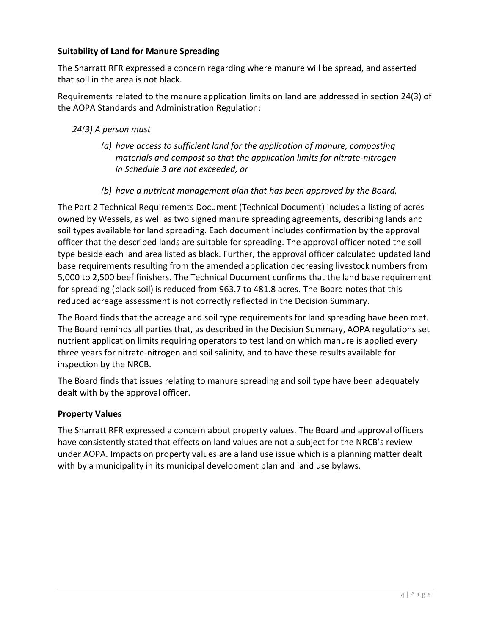# **Suitability of Land for Manure Spreading**

The Sharratt RFR expressed a concern regarding where manure will be spread, and asserted that soil in the area is not black.

Requirements related to the manure application limits on land are addressed in section 24(3) of the AOPA Standards and Administration Regulation:

# *24(3) A person must*

- *(a) have access to sufficient land for the application of manure, composting materials and compost so that the application limits for nitrate-nitrogen in Schedule 3 are not exceeded, or*
- *(b) have a nutrient management plan that has been approved by the Board.*

The Part 2 Technical Requirements Document (Technical Document) includes a listing of acres owned by Wessels, as well as two signed manure spreading agreements, describing lands and soil types available for land spreading. Each document includes confirmation by the approval officer that the described lands are suitable for spreading. The approval officer noted the soil type beside each land area listed as black. Further, the approval officer calculated updated land base requirements resulting from the amended application decreasing livestock numbers from 5,000 to 2,500 beef finishers. The Technical Document confirms that the land base requirement for spreading (black soil) is reduced from 963.7 to 481.8 acres. The Board notes that this reduced acreage assessment is not correctly reflected in the Decision Summary.

The Board finds that the acreage and soil type requirements for land spreading have been met. The Board reminds all parties that, as described in the Decision Summary, AOPA regulations set nutrient application limits requiring operators to test land on which manure is applied every three years for nitrate-nitrogen and soil salinity, and to have these results available for inspection by the NRCB.

The Board finds that issues relating to manure spreading and soil type have been adequately dealt with by the approval officer.

### **Property Values**

The Sharratt RFR expressed a concern about property values. The Board and approval officers have consistently stated that effects on land values are not a subject for the NRCB's review under AOPA. Impacts on property values are a land use issue which is a planning matter dealt with by a municipality in its municipal development plan and land use bylaws.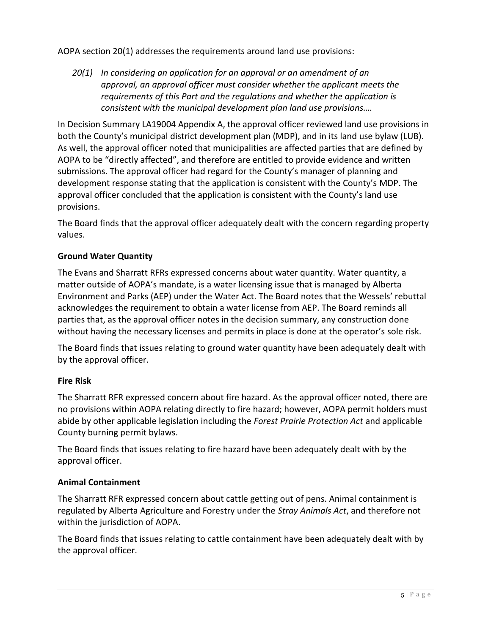### AOPA section 20(1) addresses the requirements around land use provisions:

*20(1) In considering an application for an approval or an amendment of an approval, an approval officer must consider whether the applicant meets the requirements of this Part and the regulations and whether the application is consistent with the municipal development plan land use provisions….*

In Decision Summary LA19004 Appendix A, the approval officer reviewed land use provisions in both the County's municipal district development plan (MDP), and in its land use bylaw (LUB). As well, the approval officer noted that municipalities are affected parties that are defined by AOPA to be "directly affected", and therefore are entitled to provide evidence and written submissions. The approval officer had regard for the County's manager of planning and development response stating that the application is consistent with the County's MDP. The approval officer concluded that the application is consistent with the County's land use provisions.

The Board finds that the approval officer adequately dealt with the concern regarding property values.

### **Ground Water Quantity**

The Evans and Sharratt RFRs expressed concerns about water quantity. Water quantity, a matter outside of AOPA's mandate, is a water licensing issue that is managed by Alberta Environment and Parks (AEP) under the Water Act. The Board notes that the Wessels' rebuttal acknowledges the requirement to obtain a water license from AEP. The Board reminds all parties that, as the approval officer notes in the decision summary, any construction done without having the necessary licenses and permits in place is done at the operator's sole risk.

The Board finds that issues relating to ground water quantity have been adequately dealt with by the approval officer.

### **Fire Risk**

The Sharratt RFR expressed concern about fire hazard. As the approval officer noted, there are no provisions within AOPA relating directly to fire hazard; however, AOPA permit holders must abide by other applicable legislation including the *Forest Prairie Protection Act* and applicable County burning permit bylaws.

The Board finds that issues relating to fire hazard have been adequately dealt with by the approval officer.

### **Animal Containment**

The Sharratt RFR expressed concern about cattle getting out of pens. Animal containment is regulated by Alberta Agriculture and Forestry under the *Stray Animals Act*, and therefore not within the jurisdiction of AOPA.

The Board finds that issues relating to cattle containment have been adequately dealt with by the approval officer.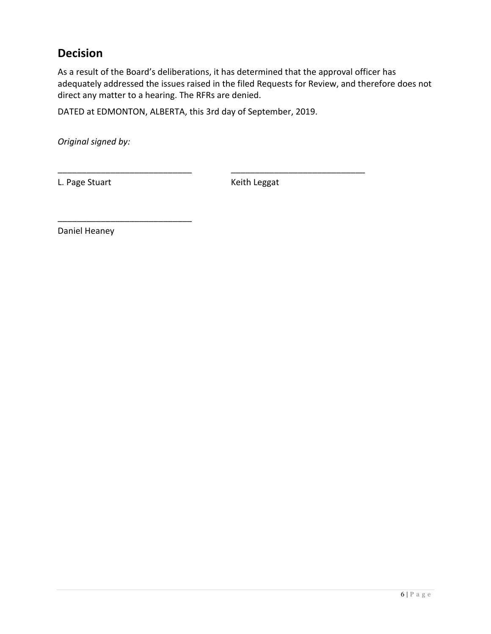# **Decision**

As a result of the Board's deliberations, it has determined that the approval officer has adequately addressed the issues raised in the filed Requests for Review, and therefore does not direct any matter to a hearing. The RFRs are denied.

DATED at EDMONTON, ALBERTA, this 3rd day of September, 2019.

\_\_\_\_\_\_\_\_\_\_\_\_\_\_\_\_\_\_\_\_\_\_\_\_\_\_\_\_ \_\_\_\_\_\_\_\_\_\_\_\_\_\_\_\_\_\_\_\_\_\_\_\_\_\_\_\_

*Original signed by:*

L. Page Stuart **Keith Leggat** 

Daniel Heaney

\_\_\_\_\_\_\_\_\_\_\_\_\_\_\_\_\_\_\_\_\_\_\_\_\_\_\_\_